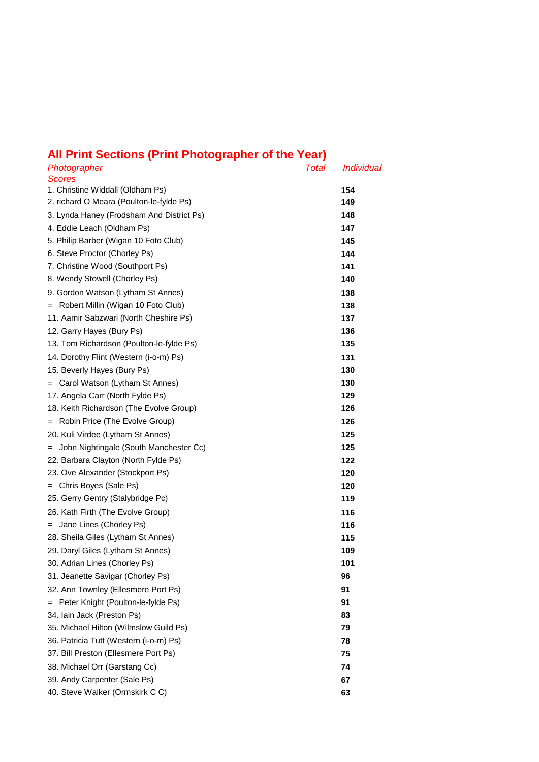## **All Print Sections (Print Photographer of the Year)**

| Photographer                                      | Total | <i>Individual</i> |
|---------------------------------------------------|-------|-------------------|
| <b>Scores</b><br>1. Christine Widdall (Oldham Ps) |       |                   |
| 2. richard O Meara (Poulton-le-fylde Ps)          |       | 154<br>149        |
| 3. Lynda Haney (Frodsham And District Ps)         |       | 148               |
| 4. Eddie Leach (Oldham Ps)                        |       | 147               |
| 5. Philip Barber (Wigan 10 Foto Club)             |       | 145               |
| 6. Steve Proctor (Chorley Ps)                     |       | 144               |
| 7. Christine Wood (Southport Ps)                  |       | 141               |
| 8. Wendy Stowell (Chorley Ps)                     |       | 140               |
| 9. Gordon Watson (Lytham St Annes)                |       | 138               |
|                                                   |       |                   |
| = Robert Millin (Wigan 10 Foto Club)              |       | 138               |
| 11. Aamir Sabzwari (North Cheshire Ps)            |       | 137               |
| 12. Garry Hayes (Bury Ps)                         |       | 136               |
| 13. Tom Richardson (Poulton-le-fylde Ps)          |       | 135               |
| 14. Dorothy Flint (Western (i-o-m) Ps)            |       | 131               |
| 15. Beverly Hayes (Bury Ps)                       |       | 130               |
| = Carol Watson (Lytham St Annes)                  |       | 130               |
| 17. Angela Carr (North Fylde Ps)                  |       | 129               |
| 18. Keith Richardson (The Evolve Group)           |       | 126               |
| = Robin Price (The Evolve Group)                  |       | 126               |
| 20. Kuli Virdee (Lytham St Annes)                 |       | 125               |
| John Nightingale (South Manchester Cc)<br>$=$     |       | 125               |
| 22. Barbara Clayton (North Fylde Ps)              |       | 122               |
| 23. Ove Alexander (Stockport Ps)                  |       | 120               |
| = Chris Boyes (Sale Ps)                           |       | 120               |
| 25. Gerry Gentry (Stalybridge Pc)                 |       | 119               |
| 26. Kath Firth (The Evolve Group)                 |       | 116               |
| Jane Lines (Chorley Ps)<br>$=$                    |       | 116               |
| 28. Sheila Giles (Lytham St Annes)                |       | 115               |
| 29. Daryl Giles (Lytham St Annes)                 |       | 109               |
| 30. Adrian Lines (Chorley Ps)                     |       | 101               |
| 31. Jeanette Savigar (Chorley Ps)                 |       | 96                |
| 32. Ann Townley (Ellesmere Port Ps)               |       | 91                |
| Peter Knight (Poulton-le-fylde Ps)<br>$=$         |       | 91                |
| 34. Iain Jack (Preston Ps)                        |       | 83                |
| 35. Michael Hilton (Wilmslow Guild Ps)            |       | 79                |
| 36. Patricia Tutt (Western (i-o-m) Ps)            |       | 78                |
| 37. Bill Preston (Ellesmere Port Ps)              |       | 75                |
| 38. Michael Orr (Garstang Cc)                     |       | 74                |
| 39. Andy Carpenter (Sale Ps)                      |       | 67                |
| 40. Steve Walker (Ormskirk C C)                   |       | 63                |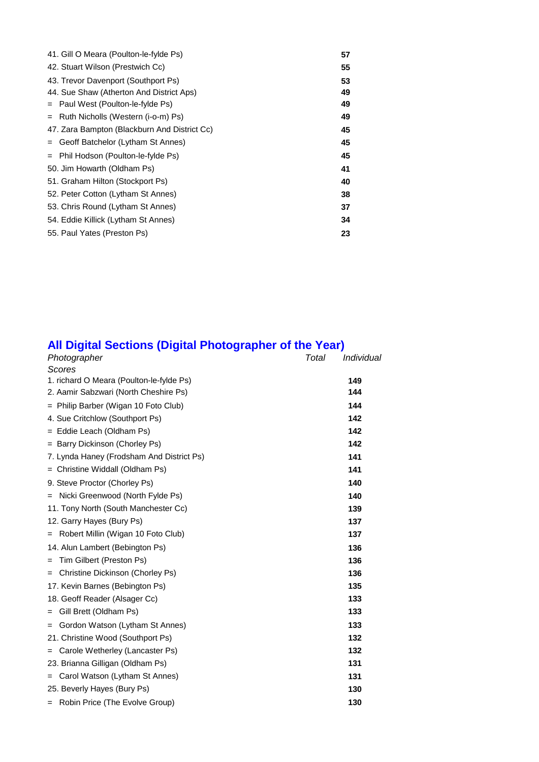| 41. Gill O Meara (Poulton-le-fylde Ps)       | 57 |
|----------------------------------------------|----|
| 42. Stuart Wilson (Prestwich Cc)             | 55 |
| 43. Trevor Davenport (Southport Ps)          | 53 |
| 44. Sue Shaw (Atherton And District Aps)     | 49 |
| $=$ Paul West (Poulton-le-fylde Ps)          | 49 |
| = Ruth Nicholls (Western (i-o-m) Ps)         | 49 |
| 47. Zara Bampton (Blackburn And District Cc) | 45 |
| Geoff Batchelor (Lytham St Annes)<br>$=$     | 45 |
| = Phil Hodson (Poulton-le-fylde Ps)          | 45 |
| 50. Jim Howarth (Oldham Ps)                  | 41 |
| 51. Graham Hilton (Stockport Ps)             | 40 |
| 52. Peter Cotton (Lytham St Annes)           | 38 |
| 53. Chris Round (Lytham St Annes)            | 37 |
| 54. Eddie Killick (Lytham St Annes)          | 34 |
| 55. Paul Yates (Preston Ps)                  | 23 |

## **All Digital Sections (Digital Photographer of the Year)**

| Photographer                              | Total | Individual |
|-------------------------------------------|-------|------------|
| Scores                                    |       |            |
| 1. richard O Meara (Poulton-le-fylde Ps)  |       | 149        |
| 2. Aamir Sabzwari (North Cheshire Ps)     |       | 144        |
| = Philip Barber (Wigan 10 Foto Club)      |       | 144        |
| 4. Sue Critchlow (Southport Ps)           |       | 142        |
| = Eddie Leach (Oldham Ps)                 |       | 142        |
| = Barry Dickinson (Chorley Ps)            |       | 142        |
| 7. Lynda Haney (Frodsham And District Ps) |       | 141        |
| = Christine Widdall (Oldham Ps)           |       | 141        |
| 9. Steve Proctor (Chorley Ps)             |       | 140        |
| Nicki Greenwood (North Fylde Ps)          |       | 140        |
| 11. Tony North (South Manchester Cc)      |       | 139        |
| 12. Garry Hayes (Bury Ps)                 |       | 137        |
| Robert Millin (Wigan 10 Foto Club)<br>$=$ |       | 137        |
| 14. Alun Lambert (Bebington Ps)           |       | 136        |
| Tim Gilbert (Preston Ps)<br>$=$           |       | 136        |
| Christine Dickinson (Chorley Ps)<br>$=$   |       | 136        |
| 17. Kevin Barnes (Bebington Ps)           |       | 135        |
| 18. Geoff Reader (Alsager Cc)             |       | 133        |
| Gill Brett (Oldham Ps)<br>$=$             |       | 133        |
| Gordon Watson (Lytham St Annes)<br>$=$    |       | 133        |
| 21. Christine Wood (Southport Ps)         |       | 132        |
| Carole Wetherley (Lancaster Ps)<br>$=$    |       | 132        |
| 23. Brianna Gilligan (Oldham Ps)          |       | 131        |
| Carol Watson (Lytham St Annes)<br>$=$     |       | 131        |
| 25. Beverly Hayes (Bury Ps)               |       | 130        |
| = Robin Price (The Evolve Group)          |       | 130        |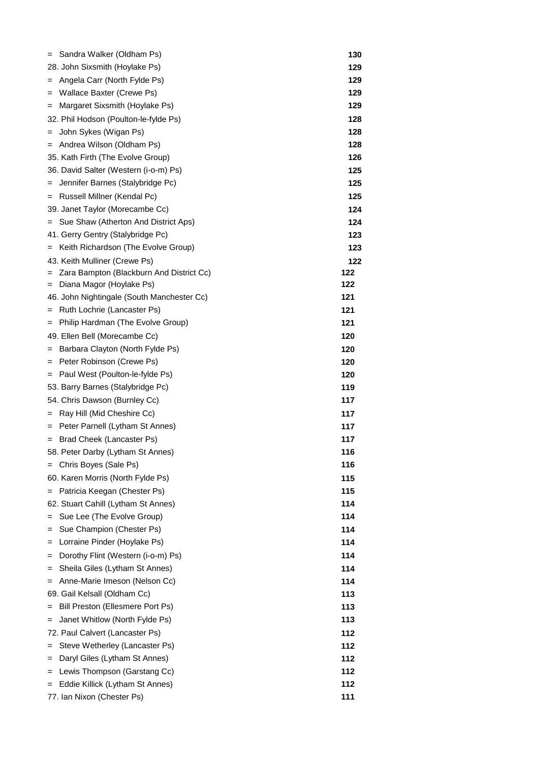| Sandra Walker (Oldham Ps)<br>$=$                          | 130 |
|-----------------------------------------------------------|-----|
| 28. John Sixsmith (Hoylake Ps)                            | 129 |
| Angela Carr (North Fylde Ps)<br>$=$                       | 129 |
| Wallace Baxter (Crewe Ps)<br>$=$                          | 129 |
| Margaret Sixsmith (Hoylake Ps)<br>$=$                     | 129 |
| 32. Phil Hodson (Poulton-le-fylde Ps)                     | 128 |
| John Sykes (Wigan Ps)<br>$=$                              | 128 |
| = Andrea Wilson (Oldham Ps)                               | 128 |
| 35. Kath Firth (The Evolve Group)                         | 126 |
| 36. David Salter (Western (i-o-m) Ps)                     | 125 |
| Jennifer Barnes (Stalybridge Pc)<br>$=$                   | 125 |
| = Russell Millner (Kendal Pc)                             | 125 |
| 39. Janet Taylor (Morecambe Cc)                           | 124 |
| = Sue Shaw (Atherton And District Aps)                    | 124 |
| 41. Gerry Gentry (Stalybridge Pc)                         | 123 |
| = Keith Richardson (The Evolve Group)                     | 123 |
| 43. Keith Mulliner (Crewe Ps)                             | 122 |
| Zara Bampton (Blackburn And District Cc)<br>$=$           | 122 |
| Diana Magor (Hoylake Ps)<br>$=$                           | 122 |
| 46. John Nightingale (South Manchester Cc)                | 121 |
| Ruth Lochrie (Lancaster Ps)<br>$=$                        | 121 |
| Philip Hardman (The Evolve Group)<br>$=$                  | 121 |
| 49. Ellen Bell (Morecambe Cc)                             | 120 |
| Barbara Clayton (North Fylde Ps)<br>$=$                   | 120 |
| = Peter Robinson (Crewe Ps)                               | 120 |
| = Paul West (Poulton-le-fylde Ps)                         | 120 |
| 53. Barry Barnes (Stalybridge Pc)                         | 119 |
| 54. Chris Dawson (Burnley Cc)                             | 117 |
| Ray Hill (Mid Cheshire Cc)<br>$=$                         | 117 |
| = Peter Parnell (Lytham St Annes)                         | 117 |
| Brad Cheek (Lancaster Ps)<br>$=$                          | 117 |
| 58. Peter Darby (Lytham St Annes)                         | 116 |
| = Chris Boyes (Sale Ps)                                   | 116 |
| 60. Karen Morris (North Fylde Ps)                         | 115 |
|                                                           |     |
| Patricia Keegan (Chester Ps)<br>$=$                       | 115 |
| 62. Stuart Cahill (Lytham St Annes)                       | 114 |
| Sue Lee (The Evolve Group)<br>$=$                         | 114 |
| Sue Champion (Chester Ps)<br>Lorraine Pinder (Hoylake Ps) | 114 |
| =                                                         | 114 |
| Dorothy Flint (Western (i-o-m) Ps)<br>=                   | 114 |
| Sheila Giles (Lytham St Annes)<br>=                       | 114 |
| Anne-Marie Imeson (Nelson Cc)<br>$=$                      | 114 |
| 69. Gail Kelsall (Oldham Cc)                              | 113 |
| Bill Preston (Ellesmere Port Ps)<br>$=$                   | 113 |
| Janet Whitlow (North Fylde Ps)<br>=                       | 113 |
| 72. Paul Calvert (Lancaster Ps)                           | 112 |
| Steve Wetherley (Lancaster Ps)<br>$=$                     | 112 |
| Daryl Giles (Lytham St Annes)<br>=                        | 112 |
| Lewis Thompson (Garstang Cc)<br>=                         | 112 |
| Eddie Killick (Lytham St Annes)<br>$=$                    | 112 |
| 77. Ian Nixon (Chester Ps)                                | 111 |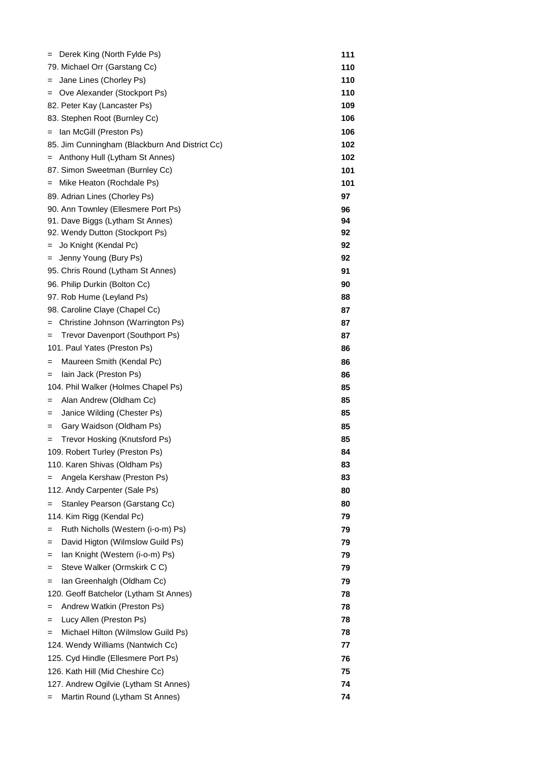| Derek King (North Fylde Ps)<br>$=$             | 111 |
|------------------------------------------------|-----|
| 79. Michael Orr (Garstang Cc)                  | 110 |
| Jane Lines (Chorley Ps)<br>=                   | 110 |
| Ove Alexander (Stockport Ps)<br>=              | 110 |
| 82. Peter Kay (Lancaster Ps)                   | 109 |
| 83. Stephen Root (Burnley Cc)                  | 106 |
| Ian McGill (Preston Ps)<br>$=$                 | 106 |
| 85. Jim Cunningham (Blackburn And District Cc) | 102 |
| Anthony Hull (Lytham St Annes)<br>$=$          | 102 |
| 87. Simon Sweetman (Burnley Cc)                | 101 |
| Mike Heaton (Rochdale Ps)<br>$=$               | 101 |
| 89. Adrian Lines (Chorley Ps)                  | 97  |
| 90. Ann Townley (Ellesmere Port Ps)            | 96  |
| 91. Dave Biggs (Lytham St Annes)               | 94  |
| 92. Wendy Dutton (Stockport Ps)                | 92  |
| Jo Knight (Kendal Pc)<br>=                     | 92  |
| Jenny Young (Bury Ps)<br>$=$                   | 92  |
| 95. Chris Round (Lytham St Annes)              | 91  |
| 96. Philip Durkin (Bolton Cc)                  | 90  |
| 97. Rob Hume (Leyland Ps)                      | 88  |
| 98. Caroline Claye (Chapel Cc)                 | 87  |
| Christine Johnson (Warrington Ps)              | 87  |
| Trevor Davenport (Southport Ps)<br>=           | 87  |
| 101. Paul Yates (Preston Ps)                   | 86  |
| Maureen Smith (Kendal Pc)<br>=                 | 86  |
| lain Jack (Preston Ps)<br>$=$                  | 86  |
| 104. Phil Walker (Holmes Chapel Ps)            | 85  |
| Alan Andrew (Oldham Cc)<br>=                   | 85  |
| Janice Wilding (Chester Ps)<br>=               | 85  |
| Gary Waidson (Oldham Ps)<br>=                  | 85  |
| Trevor Hosking (Knutsford Ps)<br>$=$           | 85  |
| 109. Robert Turley (Preston Ps)                | 84  |
| 110. Karen Shivas (Oldham Ps)                  | 83  |
| Angela Kershaw (Preston Ps)<br>$=$             | 83  |
| 112. Andy Carpenter (Sale Ps)                  | 80  |
|                                                |     |
| Stanley Pearson (Garstang Cc)<br>=             | 80  |
| 114. Kim Rigg (Kendal Pc)                      | 79  |
| Ruth Nicholls (Western (i-o-m) Ps)<br>=        | 79  |
| David Higton (Wilmslow Guild Ps)<br>=          | 79  |
| Ian Knight (Western (i-o-m) Ps)<br>=           | 79  |
| Steve Walker (Ormskirk C C)<br>=               | 79  |
| Ian Greenhalgh (Oldham Cc)<br>=                | 79  |
| 120. Geoff Batchelor (Lytham St Annes)         | 78  |
| Andrew Watkin (Preston Ps)<br>=                | 78  |
| Lucy Allen (Preston Ps)<br>=                   | 78  |
| Michael Hilton (Wilmslow Guild Ps)<br>Ξ        | 78  |
| 124. Wendy Williams (Nantwich Cc)              | 77  |
| 125. Cyd Hindle (Ellesmere Port Ps)            | 76  |
| 126. Kath Hill (Mid Cheshire Cc)               | 75  |
| 127. Andrew Ogilvie (Lytham St Annes)          | 74  |
| Martin Round (Lytham St Annes)<br>=            | 74  |